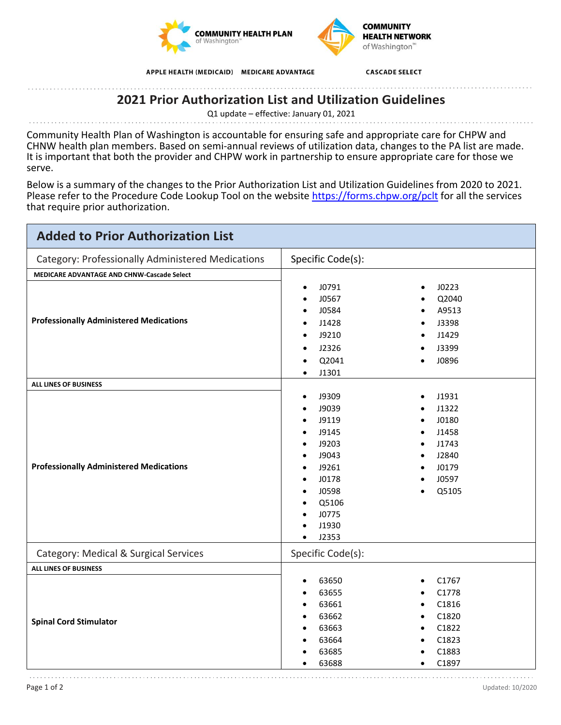



APPLE HEALTH (MEDICAID) MEDICARE ADVANTAGE

**CASCADE SELECT** 

## **2021 Prior Authorization List and Utilization Guidelines**

Q1 update – effective: January 01, 2021

Community Health Plan of Washington is accountable for ensuring safe and appropriate care for CHPW and CHNW health plan members. Based on semi-annual reviews of utilization data, changes to the PA list are made. It is important that both the provider and CHPW work in partnership to ensure appropriate care for those we serve.

Below is a summary of the changes to the Prior Authorization List and Utilization Guidelines from 2020 to 2021. Please refer to the Procedure Code Lookup Tool on the website<https://forms.chpw.org/pclt>for all the services that require prior authorization.

| <b>Added to Prior Authorization List</b>          |                                                                                                                                                                       |                                                                                                                          |
|---------------------------------------------------|-----------------------------------------------------------------------------------------------------------------------------------------------------------------------|--------------------------------------------------------------------------------------------------------------------------|
| Category: Professionally Administered Medications | Specific Code(s):                                                                                                                                                     |                                                                                                                          |
| MEDICARE ADVANTAGE AND CHNW-Cascade Select        |                                                                                                                                                                       |                                                                                                                          |
| <b>Professionally Administered Medications</b>    | J0791<br>$\bullet$<br>J0567<br>J0584<br>$\bullet$<br>J1428<br>J9210<br>$\bullet$<br>J2326<br>$\bullet$<br>Q2041<br>$\bullet$<br>J1301<br>$\bullet$                    | J0223<br>Q2040<br>A9513<br>J3398<br>J1429<br>J3399<br>J0896                                                              |
| ALL LINES OF BUSINESS                             |                                                                                                                                                                       |                                                                                                                          |
| <b>Professionally Administered Medications</b>    | J9309<br>$\bullet$<br>J9039<br>J9119<br>J9145<br>J9203<br>J9043<br>J9261<br>J0178<br>J0598<br>$\bullet$<br>Q5106<br>$\bullet$<br>J0775<br>J1930<br>J2353<br>$\bullet$ | J1931<br>J1322<br>J0180<br>J1458<br>J1743<br>J2840<br>J0179<br>J0597<br>Q5105<br>$\bullet$                               |
| Category: Medical & Surgical Services             | Specific Code(s):                                                                                                                                                     |                                                                                                                          |
| ALL LINES OF BUSINESS                             |                                                                                                                                                                       |                                                                                                                          |
| <b>Spinal Cord Stimulator</b>                     | 63650<br>$\bullet$<br>63655<br>$\bullet$<br>63661<br>$\bullet$<br>63662<br>63663<br>63664<br>63685<br>63688                                                           | C1767<br>C1778<br>C1816<br>$\bullet$<br>C1820<br>$\bullet$<br>C1822<br>$\bullet$<br>C1823<br>C1883<br>C1897<br>$\bullet$ |